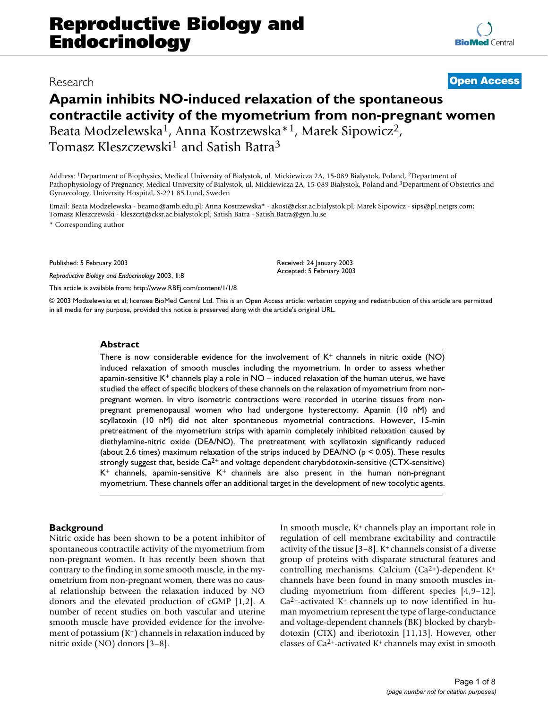# Research **[Open Access](http://www.biomedcentral.com/info/about/charter/)**

# **Apamin inhibits NO-induced relaxation of the spontaneous contractile activity of the myometrium from non-pregnant women** Beata Modzelewska1, Anna Kostrzewska\*1, Marek Sipowicz2, Tomasz Kleszczewski<sup>1</sup> and Satish Batra<sup>3</sup>

Address: 1Department of Biophysics, Medical University of Bialystok, ul. Mickiewicza 2A, 15-089 Bialystok, Poland, 2Department of Pathophysiology of Pregnancy, Medical University of Bialystok, ul. Mickiewicza 2A, 15-089 Bialystok, Poland and 3Department of Obstetrics and Gynaecology, University Hospital, S-221 85 Lund, Sweden

Email: Beata Modzelewska - beamo@amb.edu.pl; Anna Kostrzewska\* - akost@cksr.ac.bialystok.pl; Marek Sipowicz - sips@pl.netgrs.com; Tomasz Kleszczewski - kleszczt@cksr.ac.bialystok.pl; Satish Batra - Satish.Batra@gyn.lu.se

\* Corresponding author

Published: 5 February 2003

*Reproductive Biology and Endocrinology* 2003, **1**:8

[This article is available from: http://www.RBEj.com/content/1/1/8](http://www.RBEj.com/content/1/1/8)

Received: 24 January 2003 Accepted: 5 February 2003

© 2003 Modzelewska et al; licensee BioMed Central Ltd. This is an Open Access article: verbatim copying and redistribution of this article are permitted in all media for any purpose, provided this notice is preserved along with the article's original URL.

#### **Abstract**

There is now considerable evidence for the involvement of  $K^+$  channels in nitric oxide (NO) induced relaxation of smooth muscles including the myometrium. In order to assess whether apamin-sensitive  $K^+$  channels play a role in  $NO$  – induced relaxation of the human uterus, we have studied the effect of specific blockers of these channels on the relaxation of myometrium from nonpregnant women. In vitro isometric contractions were recorded in uterine tissues from nonpregnant premenopausal women who had undergone hysterectomy. Apamin (10 nM) and scyllatoxin (10 nM) did not alter spontaneous myometrial contractions. However, 15-min pretreatment of the myometrium strips with apamin completely inhibited relaxation caused by diethylamine-nitric oxide (DEA/NO). The pretreatment with scyllatoxin significantly reduced (about 2.6 times) maximum relaxation of the strips induced by DEA/NO ( $p < 0.05$ ). These results strongly suggest that, beside  $Ca^{2+}$  and voltage dependent charybdotoxin-sensitive (CTX-sensitive)  $K^+$  channels, apamin-sensitive  $K^+$  channels are also present in the human non-pregnant myometrium. These channels offer an additional target in the development of new tocolytic agents.

#### **Background**

Nitric oxide has been shown to be a potent inhibitor of spontaneous contractile activity of the myometrium from non-pregnant women. It has recently been shown that contrary to the finding in some smooth muscle, in the myometrium from non-pregnant women, there was no causal relationship between the relaxation induced by NO donors and the elevated production of cGMP [1[,2](#page-6-0)]. A number of recent studies on both vascular and uterine smooth muscle have provided evidence for the involvement of potassium  $(K^+)$  channels in relaxation induced by nitric oxide (NO) donors [\[3](#page-6-1)–[8](#page-6-2)].

In smooth muscle, K+ channels play an important role in regulation of cell membrane excitability and contractile activity of the tissue [\[3](#page-6-1)[–8\]](#page-6-2). K+ channels consist of a diverse group of proteins with disparate structural features and controlling mechanisms. Calcium (Ca2+)-dependent K+ channels have been found in many smooth muscles including myometrium from different species [4[,9–](#page-6-3)12].  $Ca<sup>2+</sup>$ -activated K<sup>+</sup> channels up to now identified in human myometrium represent the type of large-conductance and voltage-dependent channels (BK) blocked by charybdotoxin (CTX) and iberiotoxin [11,[13\]](#page-6-4). However, other classes of  $Ca<sup>2+</sup>$ -activated K<sup>+</sup> channels may exist in smooth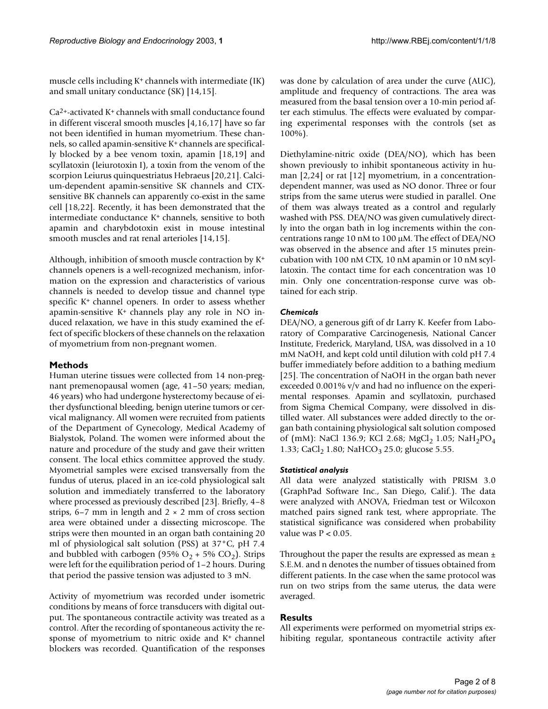muscle cells including  $K^+$  channels with intermediate (IK) and small unitary conductance (SK) [\[14](#page-6-5)[,15](#page-6-6)].

Ca2+-activated K+ channels with small conductance found in different visceral smooth muscles [4,16,17] have so far not been identified in human myometrium. These channels, so called apamin-sensitive K+ channels are specifically blocked by a bee venom toxin, apamin [\[18](#page-7-0),19] and scyllatoxin (leiurotoxin I), a toxin from the venom of the scorpion Leiurus quinquestriatus Hebraeus [[20](#page-7-1),21]. Calcium-dependent apamin-sensitive SK channels and CTXsensitive BK channels can apparently co-exist in the same cell [\[18](#page-7-0),[22](#page-7-2)]. Recently, it has been demonstrated that the intermediate conductance K<sup>+</sup> channels, sensitive to both apamin and charybdotoxin exist in mouse intestinal smooth muscles and rat renal arterioles [[14,](#page-6-5)[15\]](#page-6-6).

Although, inhibition of smooth muscle contraction by K+ channels openers is a well-recognized mechanism, information on the expression and characteristics of various channels is needed to develop tissue and channel type specific K+ channel openers. In order to assess whether apamin-sensitive K+ channels play any role in NO induced relaxation, we have in this study examined the effect of specific blockers of these channels on the relaxation of myometrium from non-pregnant women.

## **Methods**

Human uterine tissues were collected from 14 non-pregnant premenopausal women (age, 41–50 years; median, 46 years) who had undergone hysterectomy because of either dysfunctional bleeding, benign uterine tumors or cervical malignancy. All women were recruited from patients of the Department of Gynecology, Medical Academy of Bialystok, Poland. The women were informed about the nature and procedure of the study and gave their written consent. The local ethics committee approved the study. Myometrial samples were excised transversally from the fundus of uterus, placed in an ice-cold physiological salt solution and immediately transferred to the laboratory where processed as previously described [23]. Briefly, 4–8 strips, 6–7 mm in length and  $2 \times 2$  mm of cross section area were obtained under a dissecting microscope. The strips were then mounted in an organ bath containing 20 ml of physiological salt solution (PSS) at 37°C, pH 7.4 and bubbled with carbogen (95%  $O_2$  + 5%  $CO_2$ ). Strips were left for the equilibration period of 1–2 hours. During that period the passive tension was adjusted to 3 mN.

Activity of myometrium was recorded under isometric conditions by means of force transducers with digital output. The spontaneous contractile activity was treated as a control. After the recording of spontaneous activity the response of myometrium to nitric oxide and K+ channel blockers was recorded. Quantification of the responses

was done by calculation of area under the curve (AUC), amplitude and frequency of contractions. The area was measured from the basal tension over a 10-min period after each stimulus. The effects were evaluated by comparing experimental responses with the controls (set as 100%).

Diethylamine-nitric oxide (DEA/NO), which has been shown previously to inhibit spontaneous activity in hu-man [[2](#page-6-0),24] or rat [12] myometrium, in a concentrationdependent manner, was used as NO donor. Three or four strips from the same uterus were studied in parallel. One of them was always treated as a control and regularly washed with PSS. DEA/NO was given cumulatively directly into the organ bath in log increments within the concentrations range 10 nM to 100 µM. The effect of DEA/NO was observed in the absence and after 15 minutes preincubation with 100 nM CTX, 10 nM apamin or 10 nM scyllatoxin. The contact time for each concentration was 10 min. Only one concentration-response curve was obtained for each strip.

## *Chemicals*

DEA/NO, a generous gift of dr Larry K. Keefer from Laboratory of Comparative Carcinogenesis, National Cancer Institute, Frederick, Maryland, USA, was dissolved in a 10 mM NaOH, and kept cold until dilution with cold pH 7.4 buffer immediately before addition to a bathing medium [25]. The concentration of NaOH in the organ bath never exceeded 0.001% v/v and had no influence on the experimental responses. Apamin and scyllatoxin, purchased from Sigma Chemical Company, were dissolved in distilled water. All substances were added directly to the organ bath containing physiological salt solution composed of (mM): NaCl 136.9; KCl 2.68; MgCl<sub>2</sub> 1.05; NaH<sub>2</sub>PO<sub>4</sub> 1.33; CaCl<sub>2</sub> 1.80; NaHCO<sub>3</sub> 25.0; glucose 5.55.

## *Statistical analysis*

All data were analyzed statistically with PRISM 3.0 (GraphPad Software Inc., San Diego, Calif.). The data were analyzed with ANOVA, Friedman test or Wilcoxon matched pairs signed rank test, where appropriate. The statistical significance was considered when probability value was  $P < 0.05$ .

Throughout the paper the results are expressed as mean  $\pm$ S.E.M. and n denotes the number of tissues obtained from different patients. In the case when the same protocol was run on two strips from the same uterus, the data were averaged.

# **Results**

All experiments were performed on myometrial strips exhibiting regular, spontaneous contractile activity after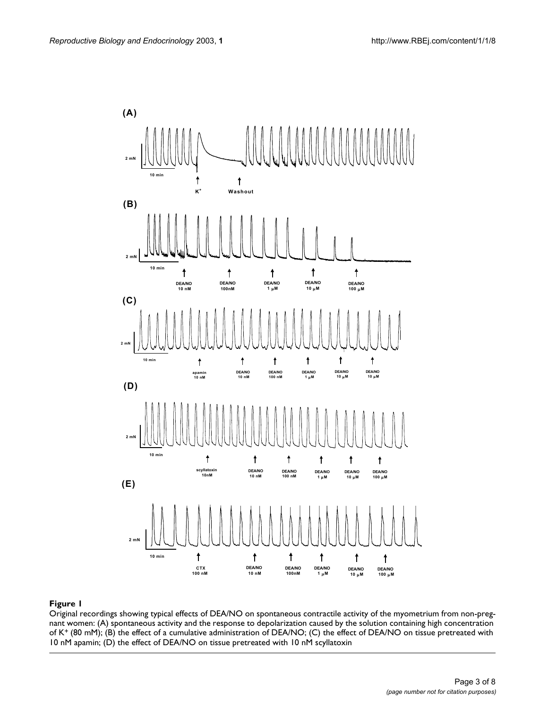

#### **Figure 1**

Original recordings showing typical effects of DEA/NO on spontaneous contractile activity of the myometrium from non-pregnant women: (A) spontaneous activity and the response to depolarization caused by the solution containing high concentration of K+ (80 mM); (B) the effect of a cumulative administration of DEA/NO; (C) the effect of DEA/NO on tissue pretreated with 10 nM apamin; (D) the effect of DEA/NO on tissue pretreated with 10 nM scyllatoxin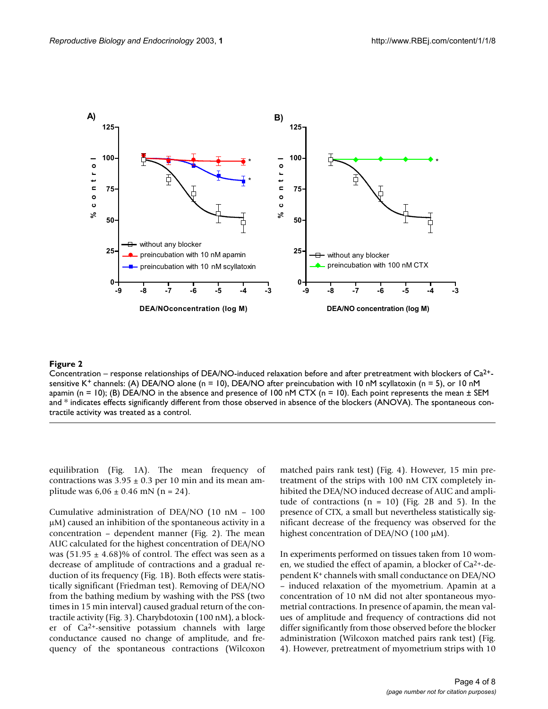

#### **Figure 2**

Concentration – response relationships of DEA/NO-induced relaxation before and after pretreatment with blockers of  $Ca^{2+}$ sensitive K<sup>+</sup> channels: (A) DEA/NO alone (n = 10), DEA/NO after preincubation with 10 nM scyllatoxin (n = 5), or 10 nM apamin (n = 10); (B) DEA/NO in the absence and presence of 100 nM CTX (n = 10). Each point represents the mean  $\pm$  SEM and \* indicates effects significantly different from those observed in absence of the blockers (ANOVA). The spontaneous contractile activity was treated as a control.

equilibration (Fig. 1A). The mean frequency of contractions was  $3.95 \pm 0.3$  per 10 min and its mean amplitude was  $6.06 \pm 0.46$  mN (n = 24).

Cumulative administration of DEA/NO (10 nM – 100 µM) caused an inhibition of the spontaneous activity in a concentration – dependent manner (Fig. 2). The mean AUC calculated for the highest concentration of DEA/NO was  $(51.95 \pm 4.68)\%$  of control. The effect was seen as a decrease of amplitude of contractions and a gradual reduction of its frequency (Fig. 1B). Both effects were statistically significant (Friedman test). Removing of DEA/NO from the bathing medium by washing with the PSS (two times in 15 min interval) caused gradual return of the contractile activity (Fig. [3](#page-4-0)). Charybdotoxin (100 nM), a blocker of Ca2+-sensitive potassium channels with large conductance caused no change of amplitude, and frequency of the spontaneous contractions (Wilcoxon matched pairs rank test) (Fig. [4\)](#page-5-0). However, 15 min pretreatment of the strips with 100 nM CTX completely inhibited the DEA/NO induced decrease of AUC and amplitude of contractions  $(n = 10)$  (Fig. 2B and [5\)](#page-5-1). In the presence of CTX, a small but nevertheless statistically significant decrease of the frequency was observed for the highest concentration of DEA/NO (100 µM).

In experiments performed on tissues taken from 10 women, we studied the effect of apamin, a blocker of Ca2+-dependent K+ channels with small conductance on DEA/NO – induced relaxation of the myometrium. Apamin at a concentration of 10 nM did not alter spontaneous myometrial contractions. In presence of apamin, the mean values of amplitude and frequency of contractions did not differ significantly from those observed before the blocker administration (Wilcoxon matched pairs rank test) (Fig. [4](#page-5-0)). However, pretreatment of myometrium strips with 10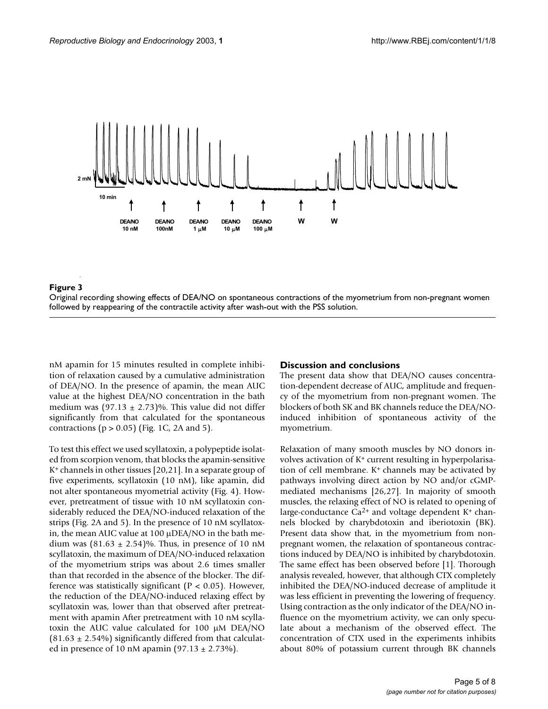<span id="page-4-0"></span>

# **Figure 3** i

Original recording showing effects of DEA/NO on spontaneous contractions of the myometrium from non-pregnant women followed by reappearing of the contractile activity after wash-out with the PSS solution.

nM apamin for 15 minutes resulted in complete inhibition of relaxation caused by a cumulative administration of DEA/NO. In the presence of apamin, the mean AUC value at the highest DEA/NO concentration in the bath medium was  $(97.13 \pm 2.73)\%$ . This value did not differ significantly from that calculated for the spontaneous contractions ( $p > 0.05$ ) (Fig. 1C, 2A and [5](#page-5-1)).

To test this effect we used scyllatoxin, a polypeptide isolated from scorpion venom, that blocks the apamin-sensitive K+ channels in other tissues [\[20](#page-7-1),21]. In a separate group of five experiments, scyllatoxin (10 nM), like apamin, did not alter spontaneous myometrial activity (Fig. [4](#page-5-0)). However, pretreatment of tissue with 10 nM scyllatoxin considerably reduced the DEA/NO-induced relaxation of the strips (Fig. 2A and [5\)](#page-5-1). In the presence of 10 nM scyllatoxin, the mean AUC value at 100 µDEA/NO in the bath medium was  $(81.63 \pm 2.54)\%$ . Thus, in presence of 10 nM scyllatoxin, the maximum of DEA/NO-induced relaxation of the myometrium strips was about 2.6 times smaller than that recorded in the absence of the blocker. The difference was statistically significant ( $P < 0.05$ ). However, the reduction of the DEA/NO-induced relaxing effect by scyllatoxin was, lower than that observed after pretreatment with apamin After pretreatment with 10 nM scyllatoxin the AUC value calculated for 100 µM DEA/NO  $(81.63 \pm 2.54\%)$  significantly differed from that calculated in presence of 10 nM apamin  $(97.13 \pm 2.73\%)$ .

#### **Discussion and conclusions**

The present data show that DEA/NO causes concentration-dependent decrease of AUC, amplitude and frequency of the myometrium from non-pregnant women. The blockers of both SK and BK channels reduce the DEA/NOinduced inhibition of spontaneous activity of the myometrium.

Relaxation of many smooth muscles by NO donors involves activation of K+ current resulting in hyperpolarisation of cell membrane.  $K^+$  channels may be activated by pathways involving direct action by NO and/or cGMPmediated mechanisms [26,[27\]](#page-7-3). In majority of smooth muscles, the relaxing effect of NO is related to opening of large-conductance  $Ca^{2+}$  and voltage dependent  $K^+$  channels blocked by charybdotoxin and iberiotoxin (BK). Present data show that, in the myometrium from nonpregnant women, the relaxation of spontaneous contractions induced by DEA/NO is inhibited by charybdotoxin. The same effect has been observed before [1]. Thorough analysis revealed, however, that although CTX completely inhibited the DEA/NO-induced decrease of amplitude it was less efficient in preventing the lowering of frequency. Using contraction as the only indicator of the DEA/NO influence on the myometrium activity, we can only speculate about a mechanism of the observed effect. The concentration of CTX used in the experiments inhibits about 80% of potassium current through BK channels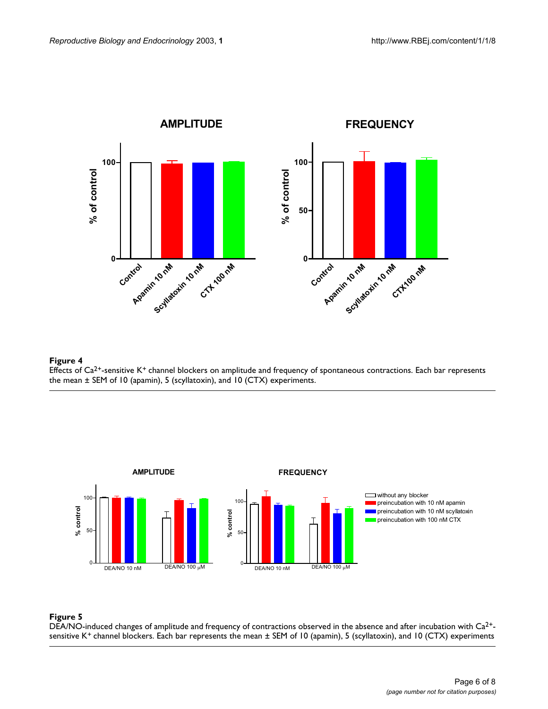<span id="page-5-0"></span>

### **Figure 4** Effects of Ca<sup>2+</sup>-sensitive K<sup>+</sup> channel blockers on amplitude and frequency of spontaneous contractions. Each bar represents the mean ± SEM of 10 (apamin), 5 (scyllatoxin), and 10 (CTX) experiments.

<span id="page-5-1"></span>

## **Figure 5**

DEA/NO-induced changes of amplitude and frequency of contractions observed in the absence and after incubation with  $Ca^{2+}$ sensitive K<sup>+</sup> channel blockers. Each bar represents the mean  $\pm$  SEM of 10 (apamin), 5 (scyllatoxin), and 10 (CTX) experiments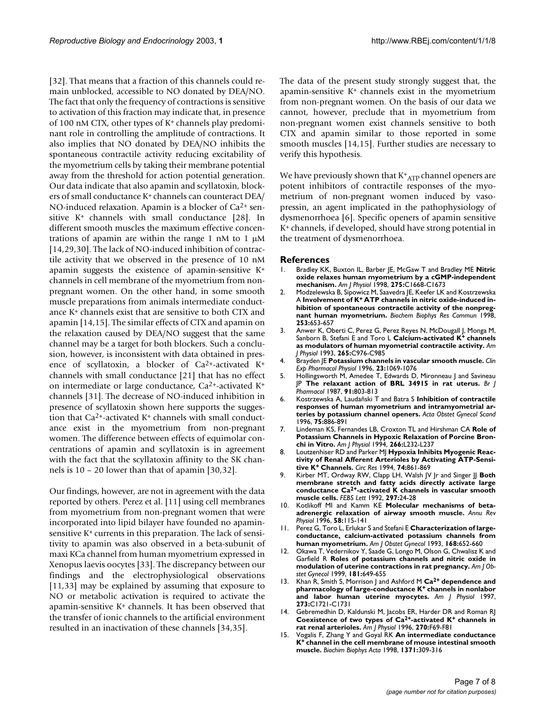[32]. That means that a fraction of this channels could remain unblocked, accessible to NO donated by DEA/NO. The fact that only the frequency of contractions is sensitive to activation of this fraction may indicate that, in presence of 100 nM CTX, other types of K+ channels play predominant role in controlling the amplitude of contractions. It also implies that NO donated by DEA/NO inhibits the spontaneous contractile activity reducing excitability of the myometrium cells by taking their membrane potential away from the threshold for action potential generation. Our data indicate that also apamin and scyllatoxin, blockers of small conductance K+ channels can counteract DEA/ NO-induced relaxation. Apamin is a blocker of Ca<sup>2+</sup> sen-sitive K<sup>+</sup> channels with small conductance [\[28](#page-7-4)]. In different smooth muscles the maximum effective concentrations of apamin are within the range 1 nM to 1 µM [[14](#page-6-5),29[,30](#page-7-5)]. The lack of NO-induced inhibition of contractile activity that we observed in the presence of 10 nM apamin suggests the existence of apamin-sensitive K+ channels in cell membrane of the myometrium from nonpregnant women. On the other hand, in some smooth muscle preparations from animals intermediate conductance K+ channels exist that are sensitive to both CTX and apamin [[14,](#page-6-5)[15](#page-6-6)]. The similar effects of CTX and apamin on the relaxation caused by DEA/NO suggest that the same channel may be a target for both blockers. Such a conclusion, however, is inconsistent with data obtained in presence of scyllatoxin, a blocker of Ca2+-activated K+ channels with small conductance [21] that has no effect on intermediate or large conductance, Ca2+-activated K+ channels [31]. The decrease of NO-induced inhibition in presence of scyllatoxin shown here supports the suggestion that Ca2+-activated K+ channels with small conductance exist in the myometrium from non-pregnant women. The difference between effects of equimolar concentrations of apamin and scyllatoxin is in agreement with the fact that the scyllatoxin affinity to the SK channels is 10 – 20 lower than that of apamin [[30,](#page-7-5)32].

Our findings, however, are not in agreement with the data reported by others. Perez et al. [11] using cell membranes from myometrium from non-pregnant women that were incorporated into lipid bilayer have founded no apaminsensitive K+ currents in this preparation. The lack of sensitivity to apamin was also observed in a beta-subunit of maxi KCa channel from human myometrium expressed in Xenopus laevis oocytes [33]. The discrepancy between our findings and the electrophysiological observations [11,33] may be explained by assuming that exposure to NO or metabolic activation is required to activate the apamin-sensitive K+ channels. It has been observed that the transfer of ionic channels to the artificial environment resulted in an inactivation of these channels [\[34](#page-7-6),35].

The data of the present study strongly suggest that, the apamin-sensitive  $K^+$  channels exist in the myometrium from non-pregnant women. On the basis of our data we cannot, however, preclude that in myometrium from non-pregnant women exist channels sensitive to both CTX and apamin similar to those reported in some smooth muscles [\[14](#page-6-5),[15\]](#page-6-6). Further studies are necessary to verify this hypothesis.

We have previously shown that  $\mathrm{K^{+}_{ATP}}$  channel openers are potent inhibitors of contractile responses of the myometrium of non-pregnant women induced by vasopressin, an agent implicated in the pathophysiology of dysmenorrhoea [6]. Specific openers of apamin sensitive K+ channels, if developed, should have strong potential in the treatment of dysmenorrhoea.

#### **References**

- 1. Bradley KK, Buxton IL, Barber JE, McGaw T and Bradley ME **[Nitric](http://www.ncbi.nlm.nih.gov/entrez/query.fcgi?cmd=Retrieve&db=PubMed&dopt=Abstract&list_uids=9843729) [oxide relaxes human myometrium by a cGMP-independent](http://www.ncbi.nlm.nih.gov/entrez/query.fcgi?cmd=Retrieve&db=PubMed&dopt=Abstract&list_uids=9843729) [mechanism.](http://www.ncbi.nlm.nih.gov/entrez/query.fcgi?cmd=Retrieve&db=PubMed&dopt=Abstract&list_uids=9843729)** *Am J Physiol* 1998, **275:**C1668-C1673
- <span id="page-6-0"></span>2. Modzelewska B, Sipowicz M, Saavedra JE, Keefer LK and Kostrzewska A **Involvement of K+ [ATP channels in nitric oxide-induced in](http://www.ncbi.nlm.nih.gov/entrez/query.fcgi?cmd=Retrieve&db=PubMed&dopt=Abstract&list_uids=10.1006/bbrc.1998.9844)[hibition of spontaneous contractile activity of the nonpreg](http://www.ncbi.nlm.nih.gov/entrez/query.fcgi?cmd=Retrieve&db=PubMed&dopt=Abstract&list_uids=10.1006/bbrc.1998.9844)[nant human myometrium.](http://www.ncbi.nlm.nih.gov/entrez/query.fcgi?cmd=Retrieve&db=PubMed&dopt=Abstract&list_uids=10.1006/bbrc.1998.9844)** *Biochem Biophys Res Commun* 1998, **253:**653-657
- <span id="page-6-1"></span>3. Anwer K, Oberti C, Perez G, Perez Reyes N, McDougall J, Monga M, Sanborn B, Stefani E and Toro L **Calcium-activated K+ [channels](http://www.ncbi.nlm.nih.gov/entrez/query.fcgi?cmd=Retrieve&db=PubMed&dopt=Abstract&list_uids=8238323) [as modulators of human myometrial contractile activity.](http://www.ncbi.nlm.nih.gov/entrez/query.fcgi?cmd=Retrieve&db=PubMed&dopt=Abstract&list_uids=8238323)** *Am J Physiol* 1993, **265:**C976-C985
- 4. Brayden JE **[Potassium channels in vascular smooth muscle.](http://www.ncbi.nlm.nih.gov/entrez/query.fcgi?cmd=Retrieve&db=PubMed&dopt=Abstract&list_uids=8977162)** *Clin Exp Pharmacol Physiol* 1996, **23:**1069-1076
- 5. Hollingsworth M, Amedee T, Edwards D, Mironneau J and Savineau JP **[The relaxant action of BRL 34915 in rat uterus.](http://www.ncbi.nlm.nih.gov/entrez/query.fcgi?cmd=Retrieve&db=PubMed&dopt=Abstract&list_uids=2444298)** *Br J Pharmacol* 1987, **91:**803-813
- 6. Kostrzewska A, Laudañski T and Batra S **[Inhibition of contractile](http://www.ncbi.nlm.nih.gov/entrez/query.fcgi?cmd=Retrieve&db=PubMed&dopt=Abstract&list_uids=9003087) [responses of human myometrium and intramyometrial ar](http://www.ncbi.nlm.nih.gov/entrez/query.fcgi?cmd=Retrieve&db=PubMed&dopt=Abstract&list_uids=9003087)[teries by potassium channel openers.](http://www.ncbi.nlm.nih.gov/entrez/query.fcgi?cmd=Retrieve&db=PubMed&dopt=Abstract&list_uids=9003087)** *Acta Obstet Gynecol Scand* 1996, **75:**886-891
- 7. Lindeman KS, Fernandes LB, Croxton TL and Hirshman CA **[Role of](http://www.ncbi.nlm.nih.gov/entrez/query.fcgi?cmd=Retrieve&db=PubMed&dopt=Abstract&list_uids=8166293) [Potassium Channels in Hypoxic Relaxation of Porcine Bron](http://www.ncbi.nlm.nih.gov/entrez/query.fcgi?cmd=Retrieve&db=PubMed&dopt=Abstract&list_uids=8166293)[chi in Vitro.](http://www.ncbi.nlm.nih.gov/entrez/query.fcgi?cmd=Retrieve&db=PubMed&dopt=Abstract&list_uids=8166293)** *Am J Physiol* 1994, **266:**L232-L237
- <span id="page-6-2"></span>8. Loutzenhiser RD and Parker MJ **Hypoxia Inhibits Myogenic Reactivity of Renal Afferent Arterioles by Activating ATP-Sensitive K+ [Channels.](http://www.ncbi.nlm.nih.gov/entrez/query.fcgi?cmd=Retrieve&db=PubMed&dopt=Abstract&list_uids=8156633)** *Circ Res* 1994, **74:**861-869
- <span id="page-6-3"></span>9. Kirber MT, Ordway RW, Clapp LH, Walsh JV Jr and Singer JJ Both **membrane stretch and fatty acids directly activate large conductance Ca2+[-activated K channels in vascular smooth](http://www.ncbi.nlm.nih.gov/entrez/query.fcgi?cmd=Retrieve&db=PubMed&dopt=Abstract&list_uids=10.1016/0014-5793(92)80319-C) [muscle cells.](http://www.ncbi.nlm.nih.gov/entrez/query.fcgi?cmd=Retrieve&db=PubMed&dopt=Abstract&list_uids=10.1016/0014-5793(92)80319-C)** *FEBS Lett* 1992, **297:**24-28
- 10. Kotlikoff MI and Kamm KE **[Molecular mechanisms of beta](http://www.ncbi.nlm.nih.gov/entrez/query.fcgi?cmd=Retrieve&db=PubMed&dopt=Abstract&list_uids=10.1146/annurev.physiol.58.1.115)[adrenergic relaxation of airway smooth muscle.](http://www.ncbi.nlm.nih.gov/entrez/query.fcgi?cmd=Retrieve&db=PubMed&dopt=Abstract&list_uids=10.1146/annurev.physiol.58.1.115)** *Annu Rev Physiol* 1996, **58:**115-141
- 11. Perez G, Toro L, Erlukar S and Stefani E **[Characterization of large](http://www.ncbi.nlm.nih.gov/entrez/query.fcgi?cmd=Retrieve&db=PubMed&dopt=Abstract&list_uids=7679886)[conductance, calcium-activated potassium channels from](http://www.ncbi.nlm.nih.gov/entrez/query.fcgi?cmd=Retrieve&db=PubMed&dopt=Abstract&list_uids=7679886) [human myometrium.](http://www.ncbi.nlm.nih.gov/entrez/query.fcgi?cmd=Retrieve&db=PubMed&dopt=Abstract&list_uids=7679886)** *Am J Obstet Gynecol* 1993, **168:**652-660
- 12. Okawa T, Vedernikov Y, Saade G, Longo M, Olson G, Chwalisz K and Garfield R **[Roles of potassium channels and nitric oxide in](http://www.ncbi.nlm.nih.gov/entrez/query.fcgi?cmd=Retrieve&db=PubMed&dopt=Abstract&list_uids=10486479) [modulation of uterine contractions in rat pregnancy.](http://www.ncbi.nlm.nih.gov/entrez/query.fcgi?cmd=Retrieve&db=PubMed&dopt=Abstract&list_uids=10486479)** *Am J Obstet Gynecol* 1999, **181:**649-655
- <span id="page-6-4"></span>13. Khan R, Smith S, Morrison J and Ashford M **Ca2+ dependence and pharmacology of large-conductance K+ [channels in nonlabor](http://www.ncbi.nlm.nih.gov/entrez/query.fcgi?cmd=Retrieve&db=PubMed&dopt=Abstract&list_uids=9374660) [and labor human uterine myocytes.](http://www.ncbi.nlm.nih.gov/entrez/query.fcgi?cmd=Retrieve&db=PubMed&dopt=Abstract&list_uids=9374660)** *Am J Physiol* 1997, **273:**C1721-C1731
- <span id="page-6-5"></span>14. Gebremedhin D, Kaldunski M, Jacobs ER, Harder DR and Roman RJ **Coexistence of two types of Ca2+-activated K+ [channels in](http://www.ncbi.nlm.nih.gov/entrez/query.fcgi?cmd=Retrieve&db=PubMed&dopt=Abstract&list_uids=8769824) [rat renal arterioles.](http://www.ncbi.nlm.nih.gov/entrez/query.fcgi?cmd=Retrieve&db=PubMed&dopt=Abstract&list_uids=8769824)** *Am J Physiol* 1996, **270:**F69-F81
- <span id="page-6-6"></span>15. Vogalis F, Zhang Y and Goyal RK **An intermediate conductance K+ [channel in the cell membrane of mouse intestinal smooth](http://www.ncbi.nlm.nih.gov/entrez/query.fcgi?cmd=Retrieve&db=PubMed&dopt=Abstract&list_uids=10.1016/S0005-2736(98)00029-7) [muscle.](http://www.ncbi.nlm.nih.gov/entrez/query.fcgi?cmd=Retrieve&db=PubMed&dopt=Abstract&list_uids=10.1016/S0005-2736(98)00029-7)** *Biochim Biophys Acta* 1998, **1371:**309-316